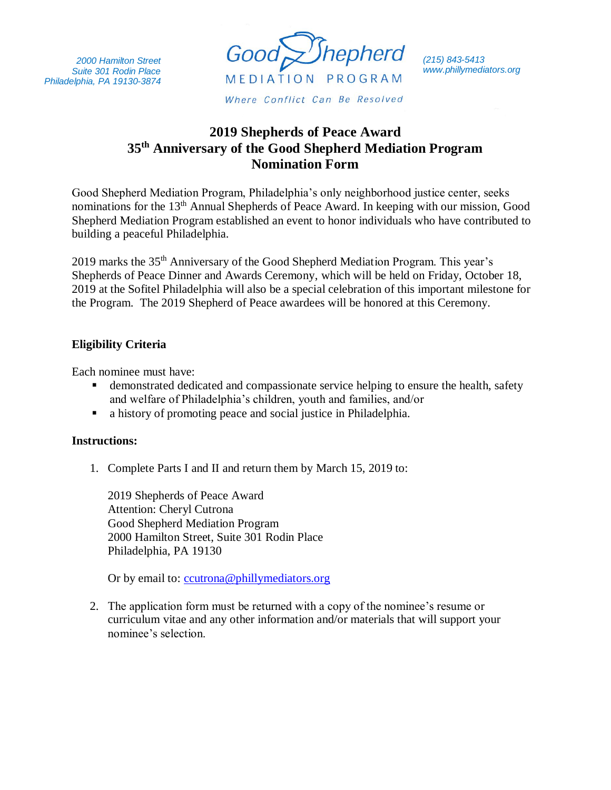*2000 Hamilton Street Suite 301 Rodin Place Philadelphia, PA 19130-3874*



*(215) 843-5413 www.phillymediators.org*

## **2019 Shepherds of Peace Award 35th Anniversary of the Good Shepherd Mediation Program Nomination Form**

Good Shepherd Mediation Program, Philadelphia's only neighborhood justice center, seeks nominations for the 13<sup>th</sup> Annual Shepherds of Peace Award. In keeping with our mission, Good Shepherd Mediation Program established an event to honor individuals who have contributed to building a peaceful Philadelphia.

2019 marks the 35th Anniversary of the Good Shepherd Mediation Program. This year's Shepherds of Peace Dinner and Awards Ceremony, which will be held on Friday, October 18, 2019 at the Sofitel Philadelphia will also be a special celebration of this important milestone for the Program. The 2019 Shepherd of Peace awardees will be honored at this Ceremony.

## **Eligibility Criteria**

Each nominee must have:

- demonstrated dedicated and compassionate service helping to ensure the health, safety and welfare of Philadelphia's children, youth and families, and/or
- a history of promoting peace and social justice in Philadelphia.

## **Instructions:**

1. Complete Parts I and II and return them by March 15, 2019 to:

2019 Shepherds of Peace Award Attention: Cheryl Cutrona Good Shepherd Mediation Program 2000 Hamilton Street, Suite 301 Rodin Place Philadelphia, PA 19130

Or by email to: [ccutrona@phillymediators.org](mailto:ccutrona@phillymediators.org)

2. The application form must be returned with a copy of the nominee's resume or curriculum vitae and any other information and/or materials that will support your nominee's selection.